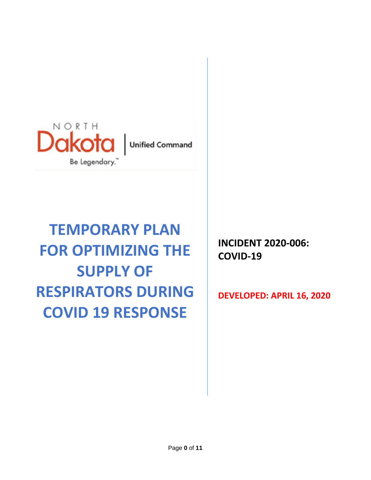

# **TEMPORARY PLAN FOR OPTIMIZING THE SUPPLY OF RESPIRATORS DURING COVID 19 RESPONSE**

**INCIDENT 2020-006: COVID-19**

**DEVELOPED: APRIL 16, 2020**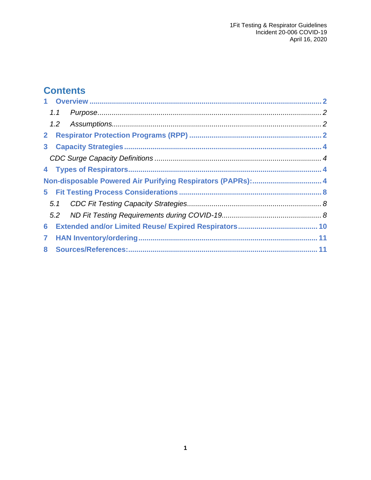# **Contents**

| Non-disposable Powered Air Purifying Respirators (PAPRs): 4 |  |  |  |
|-------------------------------------------------------------|--|--|--|
|                                                             |  |  |  |
|                                                             |  |  |  |
|                                                             |  |  |  |
| 6 <sup>1</sup>                                              |  |  |  |
| $\mathbf{7}$                                                |  |  |  |
|                                                             |  |  |  |
|                                                             |  |  |  |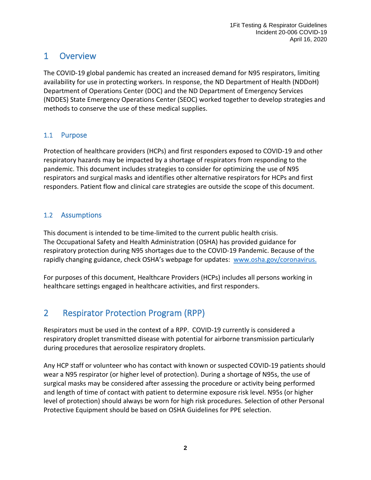## <span id="page-2-0"></span>1 Overview

The COVID-19 global pandemic has created an increased demand for N95 respirators, limiting availability for use in protecting workers. In response, the ND Department of Health (NDDoH) Department of Operations Center (DOC) and the ND Department of Emergency Services (NDDES) State Emergency Operations Center (SEOC) worked together to develop strategies and methods to conserve the use of these medical supplies.

### <span id="page-2-1"></span>1.1 Purpose

Protection of healthcare providers (HCPs) and first responders exposed to COVID-19 and other respiratory hazards may be impacted by a shortage of respirators from responding to the pandemic. This document includes strategies to consider for optimizing the use of N95 respirators and surgical masks and identifies other alternative respirators for HCPs and first responders. Patient flow and clinical care strategies are outside the scope of this document.

## <span id="page-2-2"></span>1.2 Assumptions

This document is intended to be time-limited to the current public health crisis. The Occupational Safety and Health Administration (OSHA) has provided guidance for respiratory protection during N95 shortages due to the COVID-19 Pandemic. Because of the rapidly changing guidance, check OSHA's webpage for updates: [www.osha.gov/coronavirus.](http://www.osha.gov/coronavirus)

For purposes of this document, Healthcare Providers (HCPs) includes all persons working in healthcare settings engaged in healthcare activities, and first responders.

# <span id="page-2-3"></span>2 Respirator Protection Program (RPP)

Respirators must be used in the context of a RPP. COVID-19 currently is considered a respiratory droplet transmitted disease with potential for airborne transmission particularly during procedures that aerosolize respiratory droplets.

Any HCP staff or volunteer who has contact with known or suspected COVID-19 patients should wear a N95 respirator (or higher level of protection). During a shortage of N95s, the use of surgical masks may be considered after assessing the procedure or activity being performed and length of time of contact with patient to determine exposure risk level. N95s (or higher level of protection) should always be worn for high risk procedures. Selection of other Personal Protective Equipment should be based on OSHA Guidelines for PPE selection.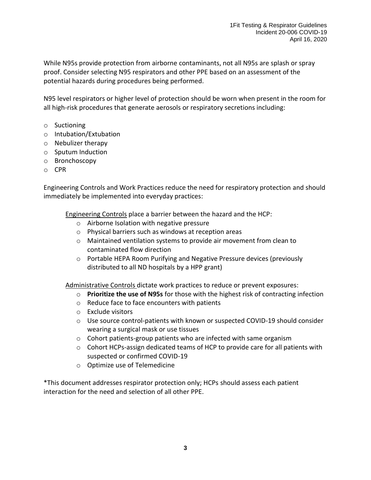While N95s provide protection from airborne contaminants, not all N95s are splash or spray proof. Consider selecting N95 respirators and other PPE based on an assessment of the potential hazards during procedures being performed.

N95 level respirators or higher level of protection should be worn when present in the room for all high-risk procedures that generate aerosols or respiratory secretions including:

- o Suctioning
- o Intubation/Extubation
- o Nebulizer therapy
- o Sputum Induction
- o Bronchoscopy
- o CPR

Engineering Controls and Work Practices reduce the need for respiratory protection and should immediately be implemented into everyday practices:

Engineering Controls place a barrier between the hazard and the HCP:

- o Airborne Isolation with negative pressure
- o Physical barriers such as windows at reception areas
- o Maintained ventilation systems to provide air movement from clean to contaminated flow direction
- o Portable HEPA Room Purifying and Negative Pressure devices (previously distributed to all ND hospitals by a HPP grant)

Administrative Controls dictate work practices to reduce or prevent exposures:

- o **Prioritize the use of N95s** for those with the highest risk of contracting infection
- o Reduce face to face encounters with patients
- o Exclude visitors
- o Use source control-patients with known or suspected COVID-19 should consider wearing a surgical mask or use tissues
- o Cohort patients-group patients who are infected with same organism
- $\circ$  Cohort HCPs-assign dedicated teams of HCP to provide care for all patients with suspected or confirmed COVID-19
- o Optimize use of Telemedicine

\*This document addresses respirator protection only; HCPs should assess each patient interaction for the need and selection of all other PPE.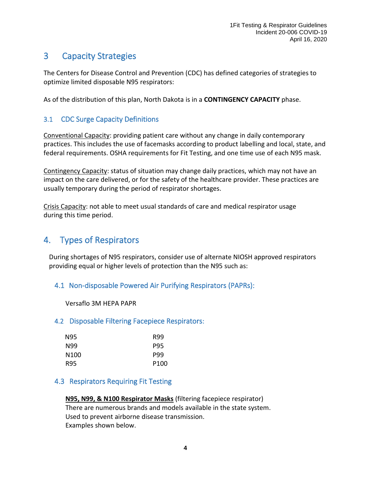# <span id="page-4-0"></span>3 Capacity Strategies

The Centers for Disease Control and Prevention (CDC) has defined categories of strategies to optimize limited disposable N95 respirators:

As of the distribution of this plan, North Dakota is in a **CONTINGENCY CAPACITY** phase.

## <span id="page-4-1"></span>3.1 CDC Surge Capacity Definitions

Conventional Capacity: providing patient care without any change in daily contemporary practices. This includes the use of facemasks according to product labelling and local, state, and federal requirements. OSHA requirements for Fit Testing, and one time use of each N95 mask.

Contingency Capacity: status of situation may change daily practices, which may not have an impact on the care delivered, or for the safety of the healthcare provider. These practices are usually temporary during the period of respirator shortages.

Crisis Capacity: not able to meet usual standards of care and medical respirator usage during this time period.

# <span id="page-4-2"></span>4. Types of Respirators

During shortages of N95 respirators, consider use of alternate NIOSH approved respirators providing equal or higher levels of protection than the N95 such as:

## <span id="page-4-3"></span>4.1 Non-disposable Powered Air Purifying Respirators (PAPRs):

Versaflo 3M HEPA PAPR

#### 4.2 Disposable Filtering Facepiece Respirators:

| N95  | R99              |
|------|------------------|
| N99  | <b>P95</b>       |
| N100 | <b>P99</b>       |
| R95  | P <sub>100</sub> |

#### 4.3 Respirators Requiring Fit Testing

#### **N95, N99, & N100 Respirator Masks** (filtering facepiece respirator)

There are numerous brands and models available in the state system. Used to prevent airborne disease transmission. Examples shown below.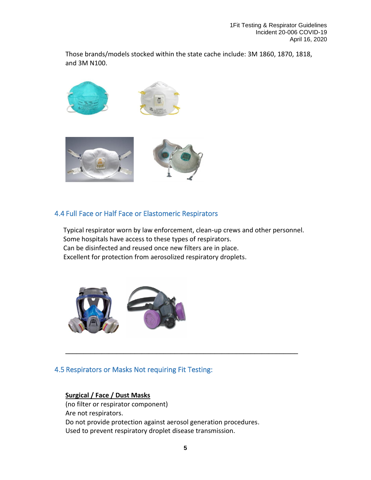Those brands/models stocked within the state cache include: 3M 1860, 1870, 1818, and 3M N100.



#### 4.4 Full Face or Half Face or Elastomeric Respirators

 Typical respirator worn by law enforcement, clean-up crews and other personnel. Some hospitals have access to these types of respirators. Can be disinfected and reused once new filters are in place. Excellent for protection from aerosolized respiratory droplets.



#### 4.5 Respirators or Masks Not requiring Fit Testing:

#### **Surgical / Face / Dust Masks**

(no filter or respirator component) Are not respirators. Do not provide protection against aerosol generation procedures. Used to prevent respiratory droplet disease transmission.

**\_\_\_\_\_\_\_\_\_\_\_\_\_\_\_\_\_\_\_\_\_\_\_\_\_\_\_\_\_\_\_\_\_\_\_\_\_\_\_\_\_\_\_\_\_\_\_\_\_\_\_\_\_\_\_\_\_\_\_\_\_\_\_\_**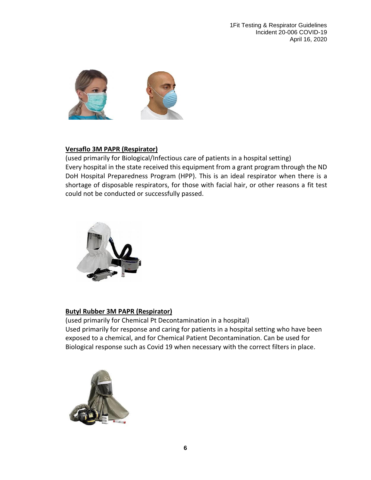

#### **Versaflo 3M PAPR (Respirator)**

(used primarily for Biological/Infectious care of patients in a hospital setting) Every hospital in the state received this equipment from a grant program through the ND DoH Hospital Preparedness Program (HPP). This is an ideal respirator when there is a shortage of disposable respirators, for those with facial hair, or other reasons a fit test could not be conducted or successfully passed.



#### **Butyl Rubber 3M PAPR (Respirator)**

(used primarily for Chemical Pt Decontamination in a hospital) Used primarily for response and caring for patients in a hospital setting who have been exposed to a chemical, and for Chemical Patient Decontamination. Can be used for Biological response such as Covid 19 when necessary with the correct filters in place.

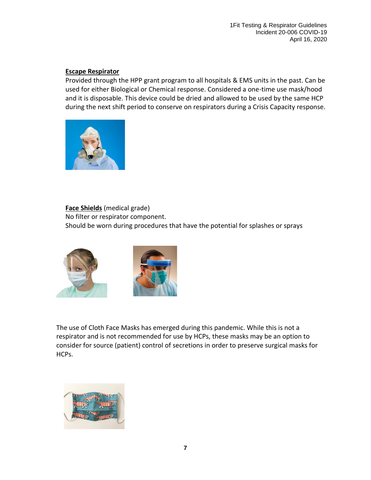#### **Escape Respirator**

Provided through the HPP grant program to all hospitals & EMS units in the past. Can be used for either Biological or Chemical response. Considered a one-time use mask/hood and it is disposable. This device could be dried and allowed to be used by the same HCP during the next shift period to conserve on respirators during a Crisis Capacity response.



**Face Shields** (medical grade) No filter or respirator component. Should be worn during procedures that have the potential for splashes or sprays



The use of Cloth Face Masks has emerged during this pandemic. While this is not a respirator and is not recommended for use by HCPs, these masks may be an option to consider for source (patient) control of secretions in order to preserve surgical masks for HCPs.

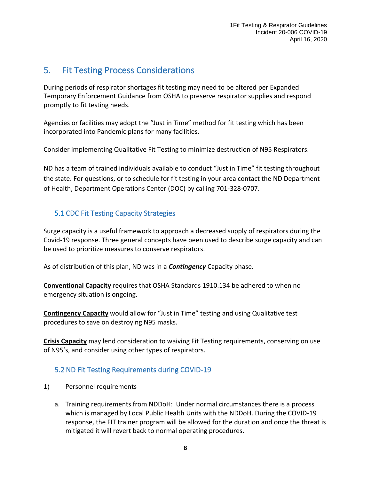## <span id="page-8-0"></span>5. Fit Testing Process Considerations

During periods of respirator shortages fit testing may need to be altered per Expanded Temporary Enforcement Guidance from OSHA to preserve respirator supplies and respond promptly to fit testing needs.

Agencies or facilities may adopt the "Just in Time" method for fit testing which has been incorporated into Pandemic plans for many facilities.

Consider implementing Qualitative Fit Testing to minimize destruction of N95 Respirators.

ND has a team of trained individuals available to conduct "Just in Time" fit testing throughout the state. For questions, or to schedule for fit testing in your area contact the ND Department of Health, Department Operations Center (DOC) by calling 701-328-0707.

## <span id="page-8-1"></span>5.1 CDC Fit Testing Capacity Strategies

Surge capacity is a useful framework to approach a decreased supply of respirators during the Covid-19 response. Three general concepts have been used to describe surge capacity and can be used to prioritize measures to conserve respirators.

As of distribution of this plan, ND was in a *Contingency* Capacity phase.

**Conventional Capacity** requires that OSHA Standards 1910.134 be adhered to when no emergency situation is ongoing.

**Contingency Capacity** would allow for "Just in Time" testing and using Qualitative test procedures to save on destroying N95 masks.

**Crisis Capacity** may lend consideration to waiving Fit Testing requirements, conserving on use of N95's, and consider using other types of respirators.

## <span id="page-8-2"></span>5.2 ND Fit Testing Requirements during COVID-19

- 1) Personnel requirements
	- a. Training requirements from NDDoH: Under normal circumstances there is a process which is managed by Local Public Health Units with the NDDoH. During the COVID-19 response, the FIT trainer program will be allowed for the duration and once the threat is mitigated it will revert back to normal operating procedures.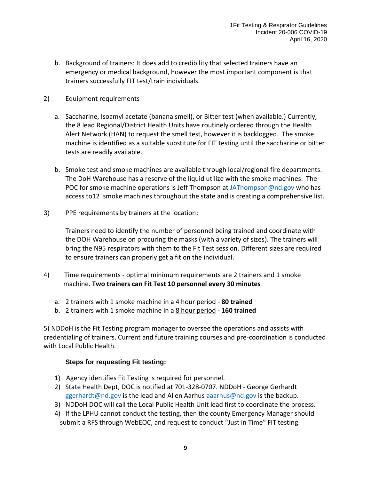- b. Background of trainers: It does add to credibility that selected trainers have an emergency or medical background, however the most important component is that trainers successfully FIT test/train individuals.
- 2) Equipment requirements
	- a. Saccharine, Isoamyl acetate (banana smell), or Bitter test (when available.) Currently, the 8 lead Regional/District Health Units have routinely ordered through the Health Alert Network (HAN) to request the smell test, however it is backlogged. The smoke machine is identified as a suitable substitute for FIT testing until the saccharine or bitter tests are readily available.
	- b. Smoke test and smoke machines are available through local/regional fire departments. The DoH Warehouse has a reserve of the liquid utilize with the smoke machines. The POC for smoke machine operations is Jeff Thompson at [JAThompson@nd.gov](mailto:JAThompson@nd.gov) who has access to12 smoke machines throughout the state and is creating a comprehensive list.
- 3) PPE requirements by trainers at the location;

Trainers need to identify the number of personnel being trained and coordinate with the DOH Warehouse on procuring the masks (with a variety of sizes). The trainers will bring the N95 respirators with them to the Fit Test session. Different sizes are required to ensure trainers can properly get a fit on the individual.

- 4) Time requirements optimal minimum requirements are 2 trainers and 1 smoke machine. **Two trainers can Fit Test 10 personnel every 30 minutes** 
	- a. 2 trainers with 1 smoke machine in a 4 hour period **80 trained**
	- b. 2 trainers with 1 smoke machine in a 8 hour period **160 trained**

5) NDDoH is the Fit Testing program manager to oversee the operations and assists with credentialing of trainers. Current and future training courses and pre-coordination is conducted with Local Public Health.

#### **Steps for requesting Fit testing:**

- 1) Agency identifies Fit Testing is required for personnel.
- 2) State Health Dept, DOC is notified at 701-328-0707. NDDoH George Gerhardt [ggerhardt@nd.gov](mailto:ggerhardt@nd.gov) is the lead and Allen Aarhus [aaarhus@nd.gov](mailto:aaarhus@nd.gov) is the backup.
- 3) NDDoH DOC will call the Local Public Health Unit lead first to coordinate the process.
- 4) If the LPHU cannot conduct the testing, then the county Emergency Manager should submit a RFS through WebEOC, and request to conduct "Just in Time" FIT testing.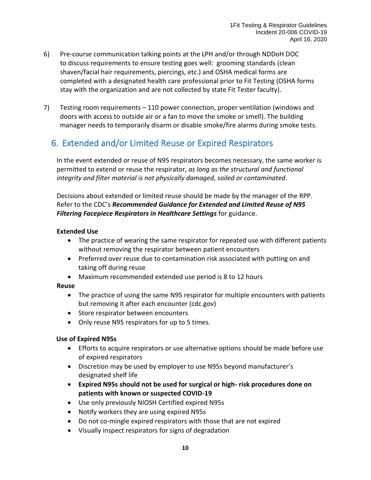- 6) Pre-course communication talking points at the LPH and/or through NDDoH DOC to discuss requirements to ensure testing goes well: grooming standards (clean shaven/facial hair requirements, piercings, etc.) and OSHA medical forms are completed with a designated health care professional prior to Fit Testing (OSHA forms stay with the organization and are not collected by state Fit Tester faculty).
- 7) Testing room requirements 110 power connection, proper ventilation (windows and doors with access to outside air or a fan to move the smoke or smell). The building manager needs to temporarily disarm or disable smoke/fire alarms during smoke tests.

# <span id="page-10-0"></span>6. Extended and/or Limited Reuse or Expired Respirators

In the event extended or reuse of N95 respirators becomes necessary, the same worker is permitted to extend or reuse the respirator, *as long as the structural and functional integrity and filter material is not physically damaged, soiled or contaminated*.

Decisions about extended or limited reuse should be made by the manager of the RPP. Refer to the CDC's *Recommended Guidance for Extended and Limited Reuse of N95 Filtering Facepiece Respirators in Healthcare Settings* for guidance.

#### **Extended Use**

- The practice of wearing the same respirator for repeated use with different patients without removing the respirator between patient encounters
- Preferred over reuse due to contamination risk associated with putting on and taking off during reuse
- Maximum recommended extended use period is 8 to 12 hours

#### **Reuse**

- The practice of using the same N95 respirator for multiple encounters with patients but removing it after each encounter (cdc.gov)
- Store respirator between encounters
- Only reuse N95 respirators for up to 5 times.

#### **Use of Expired N95s**

- Efforts to acquire respirators or use alternative options should be made before use of expired respirators
- Discretion may be used by employer to use N95s beyond manufacturer's designated shelf life
- **Expired N95s should not be used for surgical or high- risk procedures done on patients with known or suspected COVID-19**
- Use only previously NIOSH Certified expired N95s
- Notify workers they are using expired N95s
- Do not co-mingle expired respirators with those that are not expired
- Visually inspect respirators for signs of degradation